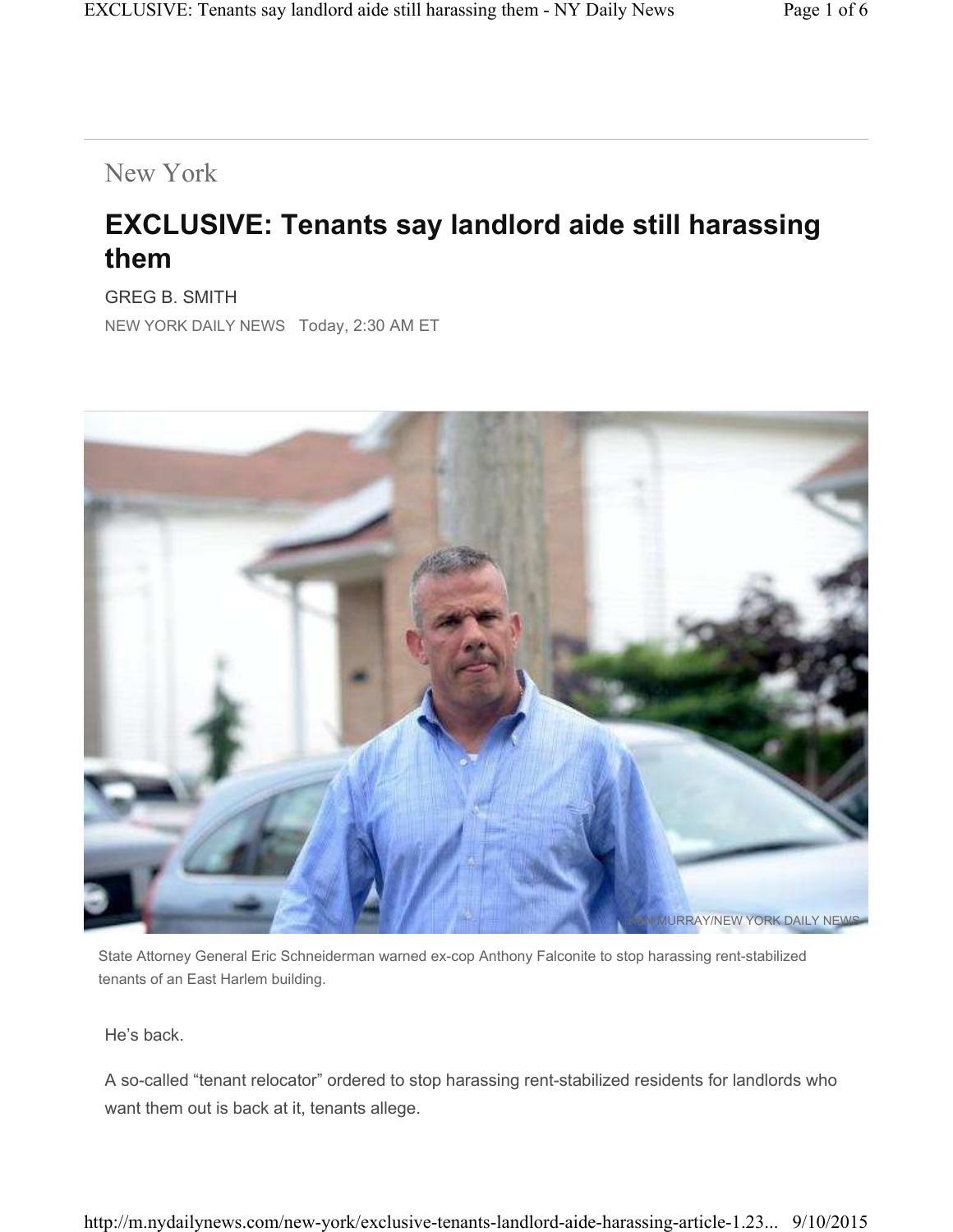## New York

## **EXCLUSIVE: Tenants say landlord aide still harassing them**

GREG B. SMITH NEW YORK DAILY NEWS Today, 2:30 AM ET



State Attorney General Eric Schneiderman warned ex-cop Anthony Falconite to stop harassing rent-stabilized tenants of an East Harlem building.

He's back.

A so-called "tenant relocator" ordered to stop harassing rent-stabilized residents for landlords who want them out is back at it, tenants allege.

http://m.nydailynews.com/new-york/exclusive-tenants-landlord-aide-harassing-article-1.23... 9/10/2015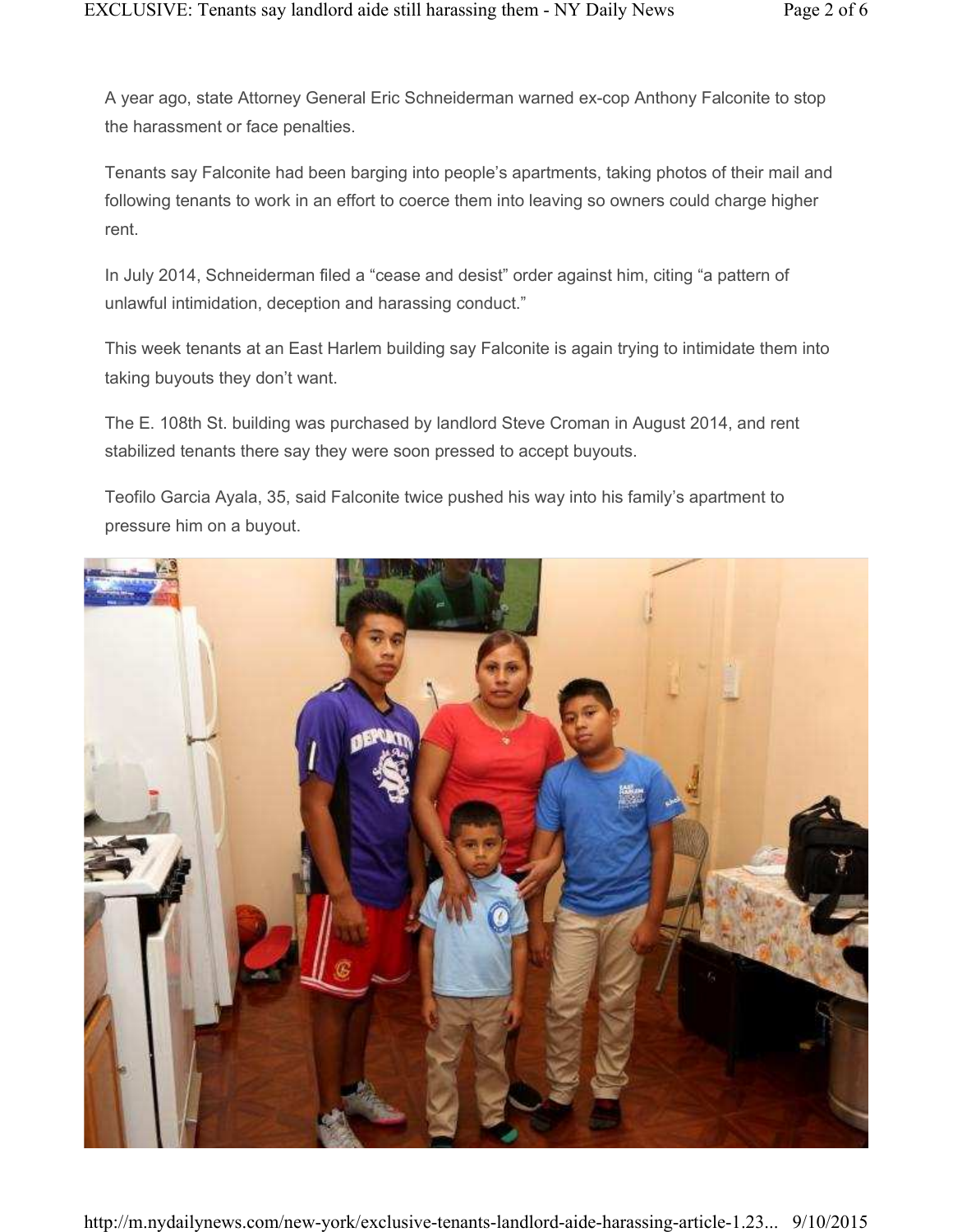A year ago, state Attorney General Eric Schneiderman warned ex-cop Anthony Falconite to stop the harassment or face penalties.

Tenants say Falconite had been barging into people's apartments, taking photos of their mail and following tenants to work in an effort to coerce them into leaving so owners could charge higher rent.

In July 2014, Schneiderman filed a "cease and desist" order against him, citing "a pattern of unlawful intimidation, deception and harassing conduct."

This week tenants at an East Harlem building say Falconite is again trying to intimidate them into taking buyouts they don't want.

The E. 108th St. building was purchased by landlord Steve Croman in August 2014, and rent stabilized tenants there say they were soon pressed to accept buyouts.

Teofilo Garcia Ayala, 35, said Falconite twice pushed his way into his family's apartment to pressure him on a buyout.